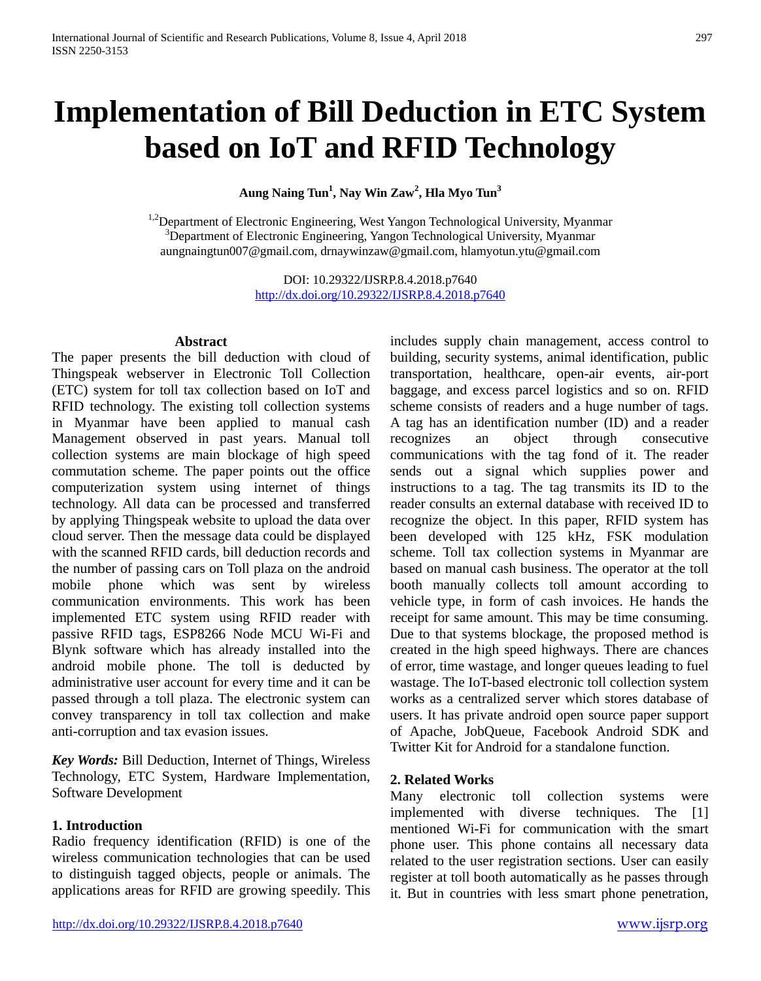# **Implementation of Bill Deduction in ETC System based on IoT and RFID Technology**

**Aung Naing Tun1 , Nay Win Zaw<sup>2</sup> , Hla Myo Tun3**

 $1.2$ Department of Electronic Engineering, West Yangon Technological University, Myanmar <sup>3</sup>Department of Electronic Engineering, Yangon Technological University, Myanmar aungnaingtun007@gmail.com, drnaywinzaw@gmail.com, hlamyotun.ytu@gmail.com

> DOI: 10.29322/IJSRP.8.4.2018.p7640 <http://dx.doi.org/10.29322/IJSRP.8.4.2018.p7640>

#### **Abstract**

The paper presents the bill deduction with cloud of Thingspeak webserver in Electronic Toll Collection (ETC) system for toll tax collection based on IoT and RFID technology. The existing toll collection systems in Myanmar have been applied to manual cash Management observed in past years. Manual toll collection systems are main blockage of high speed commutation scheme. The paper points out the office computerization system using internet of things technology. All data can be processed and transferred by applying Thingspeak website to upload the data over cloud server. Then the message data could be displayed with the scanned RFID cards, bill deduction records and the number of passing cars on Toll plaza on the android mobile phone which was sent by wireless communication environments. This work has been implemented ETC system using RFID reader with passive RFID tags, ESP8266 Node MCU Wi-Fi and Blynk software which has already installed into the android mobile phone. The toll is deducted by administrative user account for every time and it can be passed through a toll plaza. The electronic system can convey transparency in toll tax collection and make anti-corruption and tax evasion issues.

*Key Words:* Bill Deduction, Internet of Things, Wireless Technology, ETC System, Hardware Implementation, Software Development

## **1. Introduction**

Radio frequency identification (RFID) is one of the wireless communication technologies that can be used to distinguish tagged objects, people or animals. The applications areas for RFID are growing speedily. This includes supply chain management, access control to building, security systems, animal identification, public transportation, healthcare, open-air events, air-port baggage, and excess parcel logistics and so on. RFID scheme consists of readers and a huge number of tags. A tag has an identification number (ID) and a reader recognizes an object through consecutive communications with the tag fond of it. The reader sends out a signal which supplies power and instructions to a tag. The tag transmits its ID to the reader consults an external database with received ID to recognize the object. In this paper, RFID system has been developed with 125 kHz, FSK modulation scheme. Toll tax collection systems in Myanmar are based on manual cash business. The operator at the toll booth manually collects toll amount according to vehicle type, in form of cash invoices. He hands the receipt for same amount. This may be time consuming. Due to that systems blockage, the proposed method is created in the high speed highways. There are chances of error, time wastage, and longer queues leading to fuel wastage. The IoT-based electronic toll collection system works as a centralized server which stores database of users. It has private android open source paper support of Apache, JobQueue, Facebook Android SDK and Twitter Kit for Android for a standalone function.

## **2. Related Works**

Many electronic toll collection systems were implemented with diverse techniques. The [1] mentioned Wi-Fi for communication with the smart phone user. This phone contains all necessary data related to the user registration sections. User can easily register at toll booth automatically as he passes through it. But in countries with less smart phone penetration,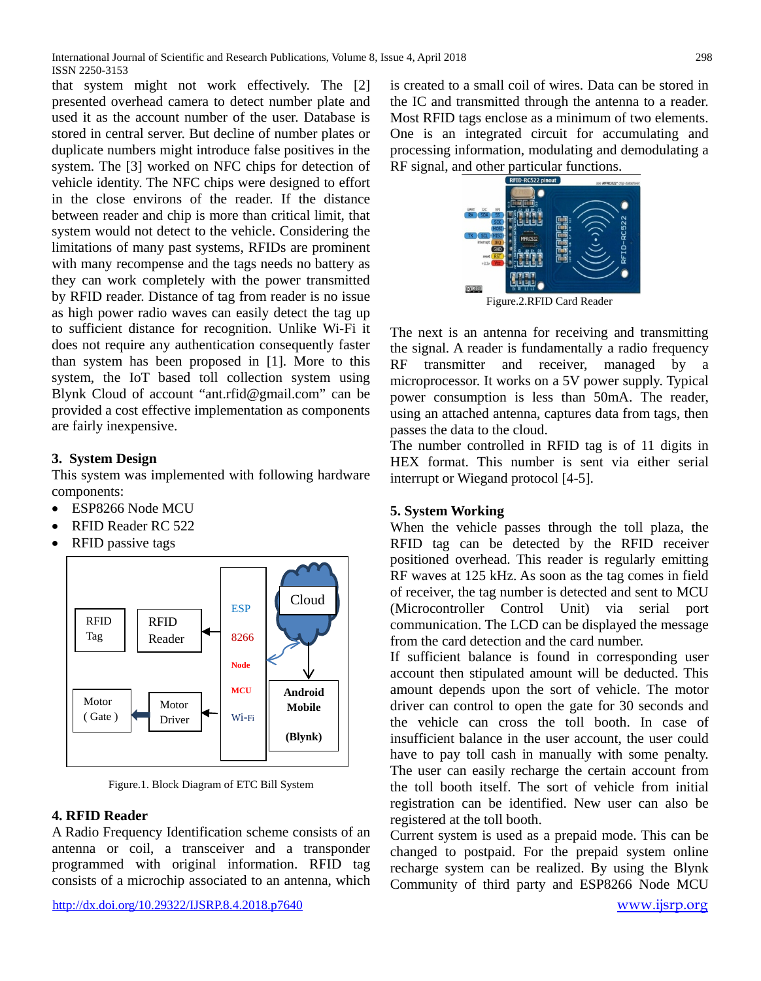that system might not work effectively. The [2] presented overhead camera to detect number plate and used it as the account number of the user. Database is stored in central server. But decline of number plates or duplicate numbers might introduce false positives in the system. The [3] worked on NFC chips for detection of vehicle identity. The NFC chips were designed to effort in the close environs of the reader. If the distance between reader and chip is more than critical limit, that system would not detect to the vehicle. Considering the limitations of many past systems, RFIDs are prominent with many recompense and the tags needs no battery as they can work completely with the power transmitted by RFID reader. Distance of tag from reader is no issue as high power radio waves can easily detect the tag up to sufficient distance for recognition. Unlike Wi-Fi it does not require any authentication consequently faster than system has been proposed in [1]. More to this system, the IoT based toll collection system using Blynk Cloud of account "ant.rfid@gmail.com" can be provided a cost effective implementation as components are fairly inexpensive.

# **3. System Design**

This system was implemented with following hardware components:

- ESP8266 Node MCU
- RFID Reader RC 522
- RFID passive tags



Figure.1. Block Diagram of ETC Bill System

## **4. RFID Reader**

A Radio Frequency Identification scheme consists of an antenna or coil, a transceiver and a transponder programmed with original information. RFID tag consists of a microchip associated to an antenna, which is created to a small coil of wires. Data can be stored in the IC and transmitted through the antenna to a reader. Most RFID tags enclose as a minimum of two elements. One is an integrated circuit for accumulating and processing information, modulating and demodulating a RF signal, and other particular functions.



Figure.2.RFID Card Reader

The next is an antenna for receiving and transmitting the signal. A reader is fundamentally a radio frequency RF transmitter and receiver, managed by a microprocessor. It works on a 5V power supply. Typical power consumption is less than 50mA. The reader, using an attached antenna, captures data from tags, then passes the data to the cloud.

The number controlled in RFID tag is of 11 digits in HEX format. This number is sent via either serial interrupt or Wiegand protocol [4-5].

## **5. System Working**

When the vehicle passes through the toll plaza, the RFID tag can be detected by the RFID receiver positioned overhead. This reader is regularly emitting RF waves at 125 kHz. As soon as the tag comes in field of receiver, the tag number is detected and sent to MCU (Microcontroller Control Unit) via serial port communication. The LCD can be displayed the message from the card detection and the card number.

If sufficient balance is found in corresponding user account then stipulated amount will be deducted. This amount depends upon the sort of vehicle. The motor driver can control to open the gate for 30 seconds and the vehicle can cross the toll booth. In case of insufficient balance in the user account, the user could have to pay toll cash in manually with some penalty. The user can easily recharge the certain account from the toll booth itself. The sort of vehicle from initial registration can be identified. New user can also be registered at the toll booth.

Current system is used as a prepaid mode. This can be changed to postpaid. For the prepaid system online recharge system can be realized. By using the Blynk Community of third party and ESP8266 Node MCU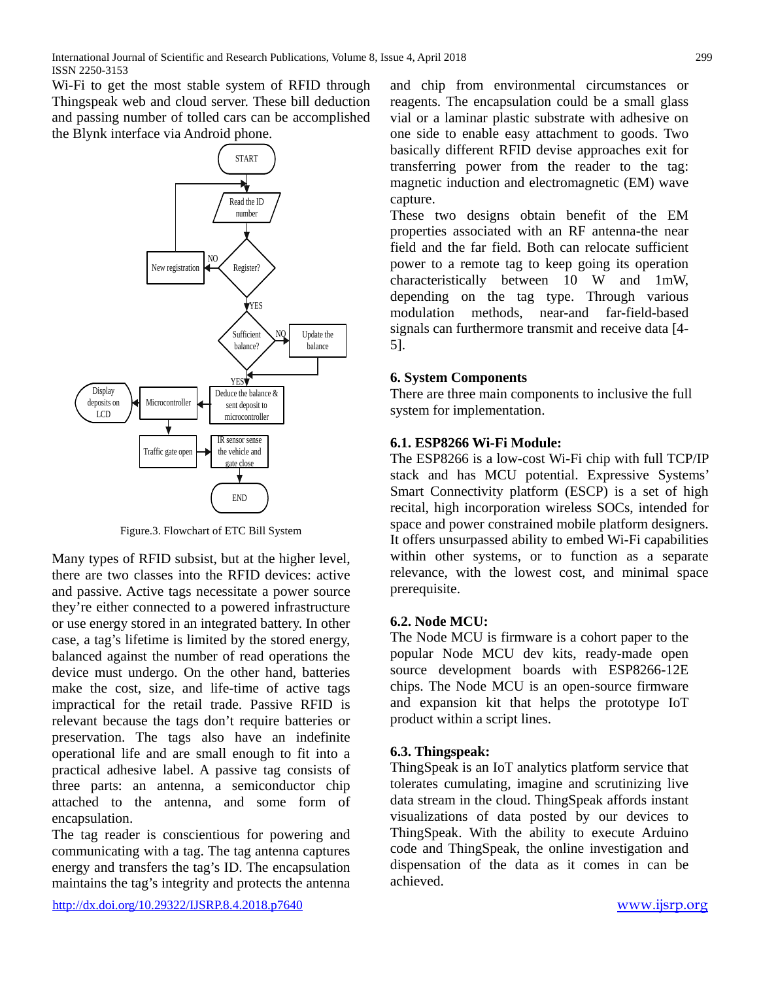Wi-Fi to get the most stable system of RFID through Thingspeak web and cloud server. These bill deduction and passing number of tolled cars can be accomplished the Blynk interface via Android phone.



Figure.3. Flowchart of ETC Bill System

Many types of RFID subsist, but at the higher level, there are two classes into the RFID devices: active and passive. Active tags necessitate a power source they're either connected to a powered infrastructure or use energy stored in an integrated battery. In other case, a tag's lifetime is limited by the stored energy, balanced against the number of read operations the device must undergo. On the other hand, batteries make the cost, size, and life-time of active tags impractical for the retail trade. Passive RFID is relevant because the tags don't require batteries or preservation. The tags also have an indefinite operational life and are small enough to fit into a practical adhesive label. A passive tag consists of three parts: an antenna, a semiconductor chip attached to the antenna, and some form of encapsulation.

The tag reader is conscientious for powering and communicating with a tag. The tag antenna captures energy and transfers the tag's ID. The encapsulation maintains the tag's integrity and protects the antenna

<http://dx.doi.org/10.29322/IJSRP.8.4.2018.p7640> [www.ijsrp.org](http://ijsrp.org/)

and chip from environmental circumstances or reagents. The encapsulation could be a small glass vial or a laminar plastic substrate with adhesive on one side to enable easy attachment to goods. Two basically different RFID devise approaches exit for transferring power from the reader to the tag: magnetic induction and electromagnetic (EM) wave capture.

These two designs obtain benefit of the EM properties associated with an RF antenna-the near field and the far field. Both can relocate sufficient power to a remote tag to keep going its operation characteristically between 10 W and 1mW, depending on the tag type. Through various modulation methods, near-and far-field-based signals can furthermore transmit and receive data [4- 5].

## **6. System Components**

There are three main components to inclusive the full system for implementation.

## **6.1. ESP8266 Wi-Fi Module:**

The ESP8266 is a low-cost Wi-Fi chip with full TCP/IP stack and has MCU potential. Expressive Systems' Smart Connectivity platform (ESCP) is a set of high recital, high incorporation wireless SOCs, intended for space and power constrained mobile platform designers. It offers unsurpassed ability to embed Wi-Fi capabilities within other systems, or to function as a separate relevance, with the lowest cost, and minimal space prerequisite.

## **6.2. Node MCU:**

The Node MCU is firmware is a cohort paper to the popular Node MCU dev kits, ready-made open source development boards with ESP8266-12E chips. The Node MCU is an open-source firmware and expansion kit that helps the prototype IoT product within a script lines.

## **6.3. Thingspeak:**

ThingSpeak is an IoT analytics platform service that tolerates cumulating, imagine and scrutinizing live data stream in the cloud. ThingSpeak affords instant visualizations of data posted by our devices to ThingSpeak. With the ability to execute Arduino code and ThingSpeak, the online investigation and dispensation of the data as it comes in can be achieved.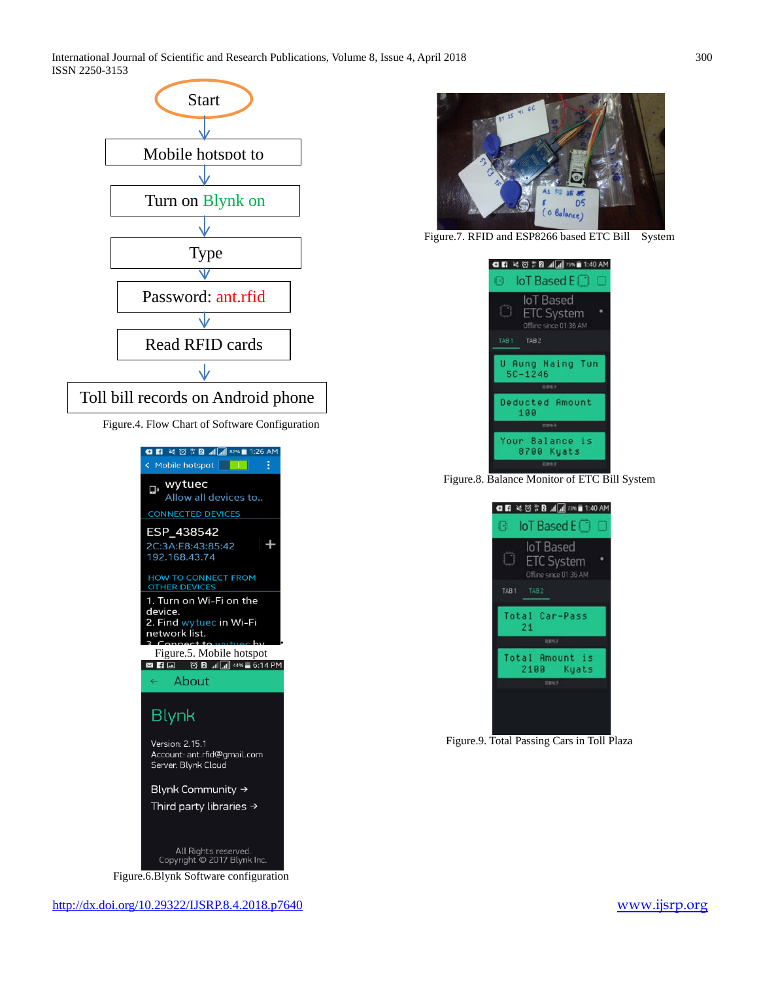International Journal of Scientific and Research Publications, Volume 8, Issue 4, April 2018 300 ISSN 2250-3153



Figure.4. Flow Chart of Software Configuration



Figure.6.Blynk Software configuration



Figure.7. RFID and ESP8266 based ETC Bill System



Figure.8. Balance Monitor of ETC Bill System



Figure.9. Total Passing Cars in Toll Plaza